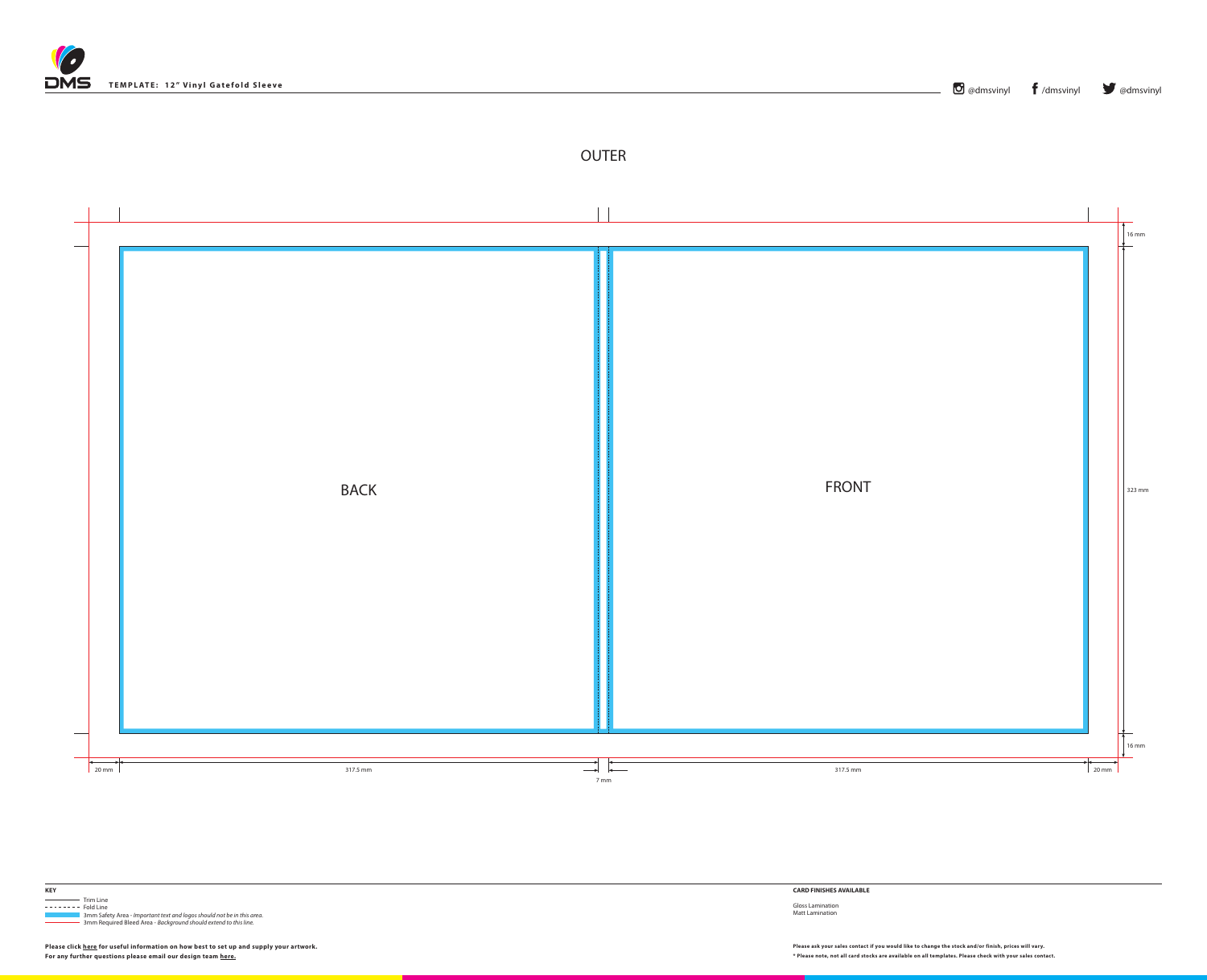



**KEY**

**Trim Line**  $------$  Fold Line

 3mm Safety Area - *Important text and logos should not be in this area*. 3mm Required Bleed Area - *Background should extend to this line.*

**CARD FINISHES AVAILABLE**

Gloss Lamination Matt Lamination

Please ask your sales contact if you would like to change the stock and/or finish, prices will vary. Please click [here](http://www.discmanufacturingservices.com/vinyl-templates.htm#artwork-specifications) for useful information on how best to set up and supply your artwork. Please ask your sales contact if **For any further questions please email our design team [here](mailto:graphics%40discmanufacturingservices.com?subject=Template%20Enquiry).**

**\* Please note, not all card stocks are available on all templates. Please check with your sales contact.**